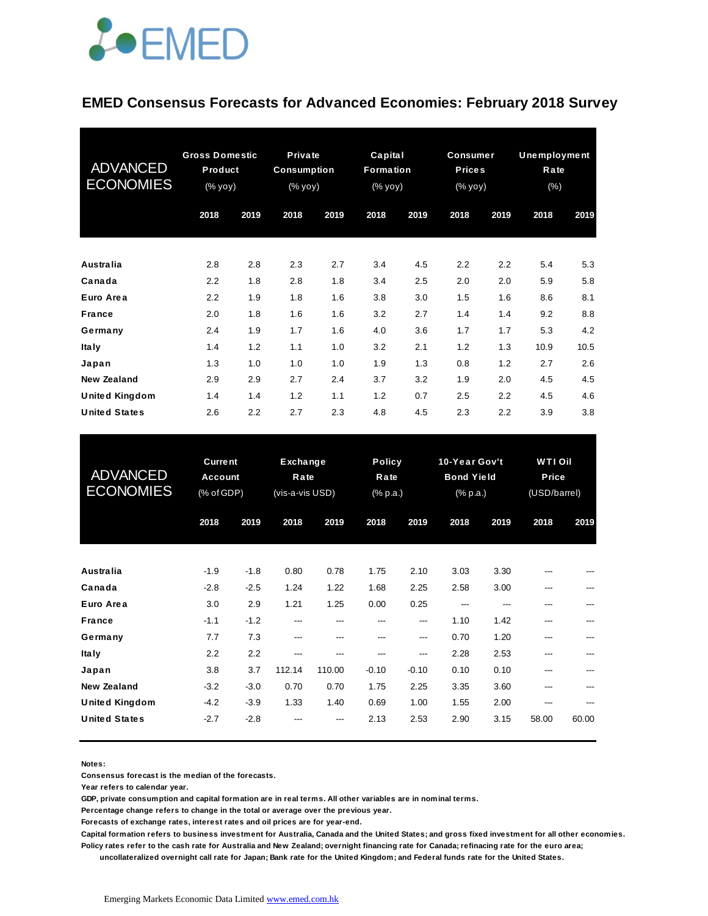

#### **EMED Consensus Forecasts for Advanced Economies: February 2018 Survey**

| <b>ADVANCED</b><br><b>ECONOMIES</b> | <b>Gross Domestic</b><br>Product<br>(% yoy) |      | <b>Private</b><br><b>Consumption</b><br>(% yoy) |      | Capital<br><b>Formation</b><br>(% yoy) |      | <b>Consumer</b><br><b>Prices</b><br>$(% \mathsf{Y}^{\prime }\mathsf{Y}^{\prime }\mathsf{Y}^{\prime })$ |      | <b>Unemployment</b><br>Rate<br>$(\% )$ |      |
|-------------------------------------|---------------------------------------------|------|-------------------------------------------------|------|----------------------------------------|------|--------------------------------------------------------------------------------------------------------|------|----------------------------------------|------|
|                                     | 2018                                        | 2019 | 2018                                            | 2019 | 2018                                   | 2019 | 2018                                                                                                   | 2019 | 2018                                   | 2019 |
| <b>Australia</b>                    | 2.8                                         | 2.8  | 2.3                                             | 2.7  | 3.4                                    | 4.5  | 2.2                                                                                                    | 2.2  | 5.4                                    | 5.3  |
| Canada                              | 2.2                                         | 1.8  | 2.8                                             | 1.8  | 3.4                                    | 2.5  | 2.0                                                                                                    | 2.0  | 5.9                                    | 5.8  |
| Euro Area                           | 2.2                                         | 1.9  | 1.8                                             | 1.6  | 3.8                                    | 3.0  | 1.5                                                                                                    | 1.6  | 8.6                                    | 8.1  |
| <b>France</b>                       | 2.0                                         | 1.8  | 1.6                                             | 1.6  | 3.2                                    | 2.7  | 1.4                                                                                                    | 1.4  | 9.2                                    | 8.8  |
| Germany                             | 2.4                                         | 1.9  | 1.7                                             | 1.6  | 4.0                                    | 3.6  | 1.7                                                                                                    | 1.7  | 5.3                                    | 4.2  |
| <b>Italy</b>                        | 1.4                                         | 1.2  | 1.1                                             | 1.0  | 3.2                                    | 2.1  | 1.2                                                                                                    | 1.3  | 10.9                                   | 10.5 |
| Japan                               | 1.3                                         | 1.0  | 1.0                                             | 1.0  | 1.9                                    | 1.3  | 0.8                                                                                                    | 1.2  | 2.7                                    | 2.6  |
| <b>New Zealand</b>                  | 2.9                                         | 2.9  | 2.7                                             | 2.4  | 3.7                                    | 3.2  | 1.9                                                                                                    | 2.0  | 4.5                                    | 4.5  |
| <b>United Kingdom</b>               | 1.4                                         | 1.4  | 1.2                                             | 1.1  | 1.2                                    | 0.7  | 2.5                                                                                                    | 2.2  | 4.5                                    | 4.6  |
| <b>United States</b>                | 2.6                                         | 2.2  | 2.7                                             | 2.3  | 4.8                                    | 4.5  | 2.3                                                                                                    | 2.2  | 3.9                                    | 3.8  |

| <b>United States</b>                        | 2.6                                     | 2.2              | 2.7                                        | 2.3           | 4.8                               | 4.5            | 2.3                                                               | 2.2          | 3.9                                     | 3.8   |
|---------------------------------------------|-----------------------------------------|------------------|--------------------------------------------|---------------|-----------------------------------|----------------|-------------------------------------------------------------------|--------------|-----------------------------------------|-------|
| <b>ADVANCED</b><br><b>ECONOMIES</b>         | <b>Current</b><br>Account<br>(% of GDP) |                  | <b>Exchange</b><br>Rate<br>(vis-a-vis USD) |               | <b>Policy</b><br>Rate<br>(% p.a.) |                | 10-Year Gov't<br><b>Bond Yield</b><br>$(% \mathbb{R}^2)$ (% p.a.) |              | <b>WTI Oil</b><br>Price<br>(USD/barrel) |       |
|                                             | 2018                                    | 2019             | 2018                                       | 2019          | 2018                              | 2019           | 2018                                                              | 2019         | 2018                                    | 2019  |
| <b>Australia</b>                            | $-1.9$                                  | $-1.8$           | 0.80                                       | 0.78          | 1.75                              | 2.10           | 3.03                                                              | 3.30         |                                         |       |
| Canada<br>Euro Area                         | $-2.8$<br>3.0                           | $-2.5$<br>2.9    | 1.24<br>1.21                               | 1.22<br>1.25  | 1.68<br>0.00                      | 2.25<br>0.25   | 2.58<br>---                                                       | 3.00<br>---  |                                         |       |
| <b>France</b><br>Germany                    | $-1.1$<br>7.7                           | $-1.2$<br>7.3    | ---<br>---                                 | ---<br>---    | ---<br>---                        | ---<br>---     | 1.10<br>0.70                                                      | 1.42<br>1.20 | ---<br>---                              |       |
| <b>Italy</b><br>Japan                       | 2.2<br>3.8                              | 2.2<br>3.7       | ---<br>112.14                              | ---<br>110.00 | ---<br>$-0.10$                    | ---<br>$-0.10$ | 2.28<br>0.10                                                      | 2.53<br>0.10 |                                         |       |
| <b>New Zealand</b><br><b>United Kingdom</b> | $-3.2$<br>$-4.2$                        | $-3.0$<br>$-3.9$ | 0.70<br>1.33                               | 0.70<br>1.40  | 1.75<br>0.69                      | 2.25<br>1.00   | 3.35<br>1.55                                                      | 3.60<br>2.00 | ---<br>---                              |       |
| <b>United States</b>                        | $-2.7$                                  | $-2.8$           |                                            |               | 2.13                              | 2.53           | 2.90                                                              | 3.15         | 58.00                                   | 60.00 |

**Notes:** 

**Consensus forecast is the median of the forecasts.**

**Year refers to calendar year.**

**GDP, private consumption and capital formation are in real terms. All other variables are in nominal terms.**

**Percentage change refers to change in the total or average over the previous year.**

**Forecasts of exchange rates, interest rates and oil prices are for year-end.**

**Capital formation refers to business investment for Australia, Canada and the United States; and gross fixed investment for all other economies. Policy rates refer to the cash rate for Australia and New Zealand; overnight financing rate for Canada; refinacing rate for the euro area;** 

 **uncollateralized overnight call rate for Japan; Bank rate for the United Kingdom; and Federal funds rate for the United States.**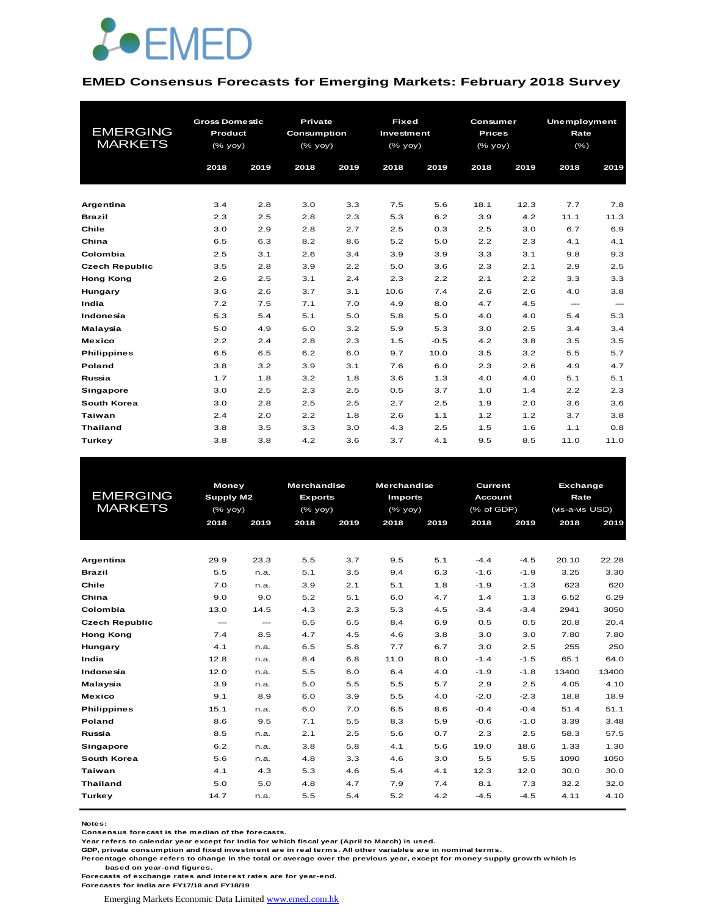

#### **EMED Consensus Forecasts for Emerging Markets: February 2018 Survey**

| <b>EMERGING</b><br><b>MARKETS</b> | <b>Gross Domestic</b><br>Product<br>$(\%$ yoy)<br>2018<br>2019 |     | <b>Private</b><br>Consumption<br>(% yoy)<br>2018 | 2019 | <b>Fixed</b><br>Investment<br>$(% \mathsf{Y}^{\prime }\mathsf{Y}^{\prime }\mathsf{Y}^{\prime })$<br>2018 | 2019   | Consumer<br><b>Prices</b><br>(% yoy)<br>2018 | 2019 | <b>Unemployment</b><br>Rate<br>(% )<br>2018 | 2019  |  |
|-----------------------------------|----------------------------------------------------------------|-----|--------------------------------------------------|------|----------------------------------------------------------------------------------------------------------|--------|----------------------------------------------|------|---------------------------------------------|-------|--|
|                                   |                                                                |     |                                                  |      |                                                                                                          |        |                                              |      |                                             |       |  |
| Argentina                         | 3.4                                                            | 2.8 | 3.0                                              | 3.3  | 7.5                                                                                                      | 5.6    | 18.1                                         | 12.3 | 7.7                                         | 7.8   |  |
| <b>Brazil</b>                     | 2.3                                                            | 2.5 | 2.8                                              | 2.3  | 5.3                                                                                                      | 6.2    | 3.9                                          | 4.2  | 11.1                                        | 11.3  |  |
| Chile                             | 3.0                                                            | 2.9 | 2.8                                              | 2.7  | 2.5                                                                                                      | 0.3    | 2.5                                          | 3.0  | 6.7                                         | 6.9   |  |
| China                             | 6.5                                                            | 6.3 | 8.2                                              | 8.6  | 5.2                                                                                                      | 5.0    | 2.2                                          | 2.3  | 4.1                                         | 4.1   |  |
| Colombia                          | 2.5                                                            | 3.1 | 2.6                                              | 3.4  | 3.9                                                                                                      | 3.9    | 3.3                                          | 3.1  | 9.8                                         | 9.3   |  |
| <b>Czech Republic</b>             | 3.5                                                            | 2.8 | 3.9                                              | 2.2  | 5.0                                                                                                      | 3.6    | 2.3                                          | 2.1  | 2.9                                         | 2.5   |  |
| <b>Hong Kong</b>                  | 2.6                                                            | 2.5 | 3.1                                              | 2.4  | 2.3                                                                                                      | 2.2    | 2.1                                          | 2.2  | 3.3                                         | 3.3   |  |
| Hungary                           | 3.6                                                            | 2.6 | 3.7                                              | 3.1  | 10.6                                                                                                     | 7.4    | 2.6                                          | 2.6  | 4.0                                         | 3.8   |  |
| India                             | 7.2                                                            | 7.5 | 7.1                                              | 7.0  | 4.9                                                                                                      | 8.0    | 4.7                                          | 4.5  | $\qquad \qquad \cdots$                      | $---$ |  |
| Indonesia                         | 5.3                                                            | 5.4 | 5.1                                              | 5.0  | 5.8                                                                                                      | 5.0    | 4.0                                          | 4.0  | 5.4                                         | 5.3   |  |
| Malaysia                          | 5.0                                                            | 4.9 | 6.0                                              | 3.2  | 5.9                                                                                                      | 5.3    | 3.0                                          | 2.5  | 3.4                                         | 3.4   |  |
| <b>Mexico</b>                     | 2.2                                                            | 2.4 | 2.8                                              | 2.3  | 1.5                                                                                                      | $-0.5$ | 4.2                                          | 3.8  | 3.5                                         | 3.5   |  |
| <b>Philippines</b>                | 6.5                                                            | 6.5 | 6.2                                              | 6.0  | 9.7                                                                                                      | 10.0   | 3.5                                          | 3.2  | 5.5                                         | 5.7   |  |
| Poland                            | 3.8                                                            | 3.2 | 3.9                                              | 3.1  | 7.6                                                                                                      | 6.0    | 2.3                                          | 2.6  | 4.9                                         | 4.7   |  |
| Russia                            | 1.7                                                            | 1.8 | 3.2                                              | 1.8  | 3.6                                                                                                      | 1.3    | 4.0                                          | 4.0  | 5.1                                         | 5.1   |  |
| <b>Singapore</b>                  | 3.0                                                            | 2.5 | 2.3                                              | 2.5  | 0.5                                                                                                      | 3.7    | 1.0                                          | 1.4  | 2.2                                         | 2.3   |  |
| South Korea                       | 3.0                                                            | 2.8 | 2.5                                              | 2.5  | 2.7                                                                                                      | 2.5    | 1.9                                          | 2.0  | 3.6                                         | 3.6   |  |
| <b>Taiwan</b>                     | 2.4                                                            | 2.0 | 2.2                                              | 1.8  | 2.6                                                                                                      | 1.1    | 1.2                                          | 1.2  | 3.7                                         | 3.8   |  |
| <b>Thailand</b>                   | 3.8                                                            | 3.5 | 3.3                                              | 3.0  | 4.3                                                                                                      | 2.5    | 1.5                                          | 1.6  | 1.1                                         | 0.8   |  |
| <b>Turkey</b>                     | 3.8                                                            | 3.8 | 4.2                                              | 3.6  | 3.7                                                                                                      | 4.1    | 9.5                                          | 8.5  | 11.0                                        | 11.0  |  |

|                       |                  | <b>Money</b> |                | <b>Merchandise</b> | <b>Merchandise</b> |      |                | Current<br>Exchange |                 |       |
|-----------------------|------------------|--------------|----------------|--------------------|--------------------|------|----------------|---------------------|-----------------|-------|
| <b>EMERGING</b>       | <b>Supply M2</b> |              | <b>Exports</b> |                    | <b>Imports</b>     |      | <b>Account</b> |                     | Rate            |       |
| <b>MARKETS</b>        |                  | $(%$ (% yoy) |                | $(%$ $(yoy)$       | (% yoy)            |      | (% of GDP)     |                     | (vis-a-vis USD) |       |
|                       | 2018             | 2019         | 2018           | 2019               | 2018               | 2019 | 2018           | 2019                | 2018            | 2019  |
|                       |                  |              |                |                    |                    |      |                |                     |                 |       |
|                       |                  |              |                |                    |                    |      |                |                     |                 |       |
| Argentina             | 29.9             | 23.3         | 5.5            | 3.7                | 9.5                | 5.1  | $-4.4$         | $-4.5$              | 20.10           | 22.28 |
| <b>Brazil</b>         | 5.5              | n.a.         | 5.1            | 3.5                | 9.4                | 6.3  | $-1.6$         | $-1.9$              | 3.25            | 3.30  |
| Chile                 | 7.0              | n.a.         | 3.9            | 2.1                | 5.1                | 1.8  | $-1.9$         | $-1.3$              | 623             | 620   |
| China                 | 9.0              | 9.0          | 5.2            | 5.1                | 6.0                | 4.7  | 1.4            | 1.3                 | 6.52            | 6.29  |
| Colombia              | 13.0             | 14.5         | 4.3            | 2.3                | 5.3                | 4.5  | $-3.4$         | $-3.4$              | 2941            | 3050  |
| <b>Czech Republic</b> | $\cdots$         | $\cdots$     | 6.5            | 6.5                | 8.4                | 6.9  | 0.5            | 0.5                 | 20.8            | 20.4  |
| <b>Hong Kong</b>      | 7.4              | 8.5          | 4.7            | 4.5                | 4.6                | 3.8  | 3.0            | 3.0                 | 7.80            | 7.80  |
| Hungary               | 4.1              | n.a.         | 6.5            | 5.8                | 7.7                | 6.7  | 3.0            | 2.5                 | 255             | 250   |
| India                 | 12.8             | n.a.         | 8.4            | 6.8                | 11.0               | 8.0  | $-1.4$         | $-1.5$              | 65.1            | 64.0  |
| Indonesia             | 12.0             | n.a.         | 5.5            | 6.0                | 6.4                | 4.0  | $-1.9$         | $-1.8$              | 13400           | 13400 |
| Malaysia              | 3.9              | n.a.         | 5.0            | 5.5                | 5.5                | 5.7  | 2.9            | 2.5                 | 4.05            | 4.10  |
| <b>Mexico</b>         | 9.1              | 8.9          | 6.0            | 3.9                | 5.5                | 4.0  | $-2.0$         | $-2.3$              | 18.8            | 18.9  |
| <b>Philippines</b>    | 15.1             | n.a.         | 6.0            | 7.0                | 6.5                | 8.6  | $-0.4$         | $-0.4$              | 51.4            | 51.1  |
| <b>Poland</b>         | 8.6              | 9.5          | 7.1            | 5.5                | 8.3                | 5.9  | $-0.6$         | $-1.0$              | 3.39            | 3.48  |
| Russia                | 8.5              | n.a.         | 2.1            | 2.5                | 5.6                | 0.7  | 2.3            | 2.5                 | 58.3            | 57.5  |
| <b>Singapore</b>      | 6.2              | n.a.         | 3.8            | 5.8                | 4.1                | 5.6  | 19.0           | 18.6                | 1.33            | 1.30  |
| <b>South Korea</b>    | 5.6              | n.a.         | 4.8            | 3.3                | 4.6                | 3.0  | 5.5            | 5.5                 | 1090            | 1050  |
| Taiwan                | 4.1              | 4.3          | 5.3            | 4.6                | 5.4                | 4.1  | 12.3           | 12.0                | 30.0            | 30.0  |
| <b>Thailand</b>       | 5.0              | 5.0          | 4.8            | 4.7                | 7.9                | 7.4  | 8.1            | 7.3                 | 32.2            | 32.0  |
| <b>Turkey</b>         | 14.7             | n.a.         | 5.5            | 5.4                | 5.2                | 4.2  | $-4.5$         | $-4.5$              | 4.11            | 4.10  |
|                       |                  |              |                |                    |                    |      |                |                     |                 |       |

**Notes:** 

**Consensus forecast is the median of the forecasts.**

**Year refers to calendar year except for India for which fiscal year (April to March) is used. GDP, private consumption and fixed investment are in real terms. All other variables are in nominal terms.**

**Percentage change refers to change in the total or average over the previous year, except for money supply growth which is based on year-end figures.**

**Forecasts of exchange rates and interest rates are for year-end.**

**Forecasts for India are FY17/18 and FY18/19**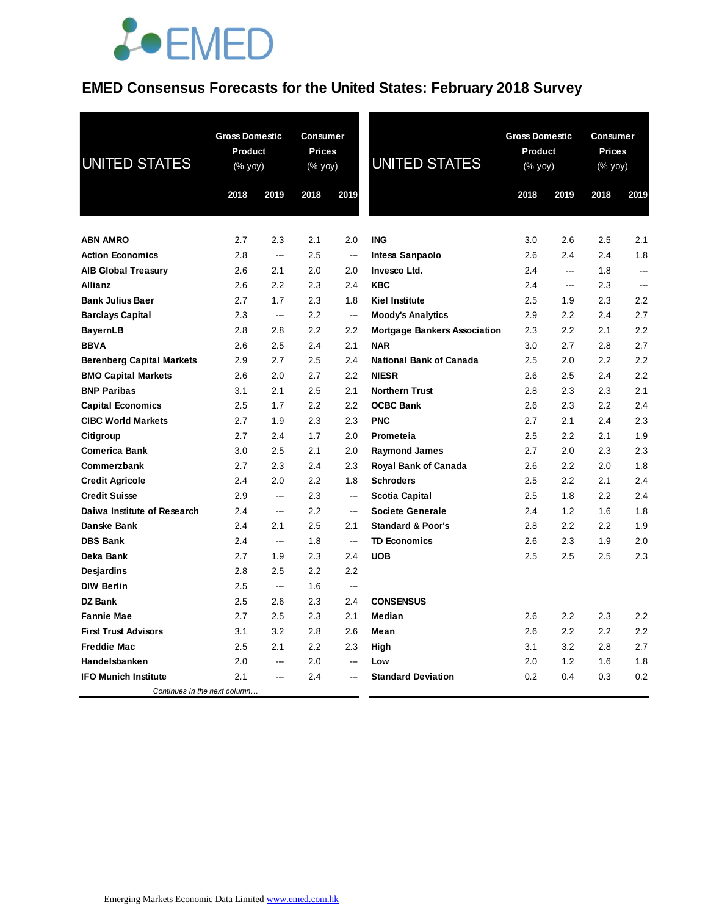## **EMED Consensus Forecasts for the United States: February 2018 Survey**

| <b>UNITED STATES</b>             | <b>Gross Domestic</b><br>Product<br>(% yoy) |                | <b>Consumer</b><br><b>Prices</b><br>(% yoy) |                          | <b>UNITED STATES</b>                | <b>Gross Domestic</b><br>Product<br>(% yoy) | 2019 | <b>Consumer</b><br><b>Prices</b><br>$(% \mathsf{Y}^{\prime }\mathsf{Y}^{\prime }\mathsf{Y}^{\prime })$ |                |
|----------------------------------|---------------------------------------------|----------------|---------------------------------------------|--------------------------|-------------------------------------|---------------------------------------------|------|--------------------------------------------------------------------------------------------------------|----------------|
|                                  | 2018                                        | 2019           | 2018                                        | 2019                     |                                     | 2018                                        |      | 2018                                                                                                   | 2019           |
| <b>ABN AMRO</b>                  | 2.7                                         | 2.3            | 2.1                                         | 2.0                      | <b>ING</b>                          | 3.0                                         | 2.6  | 2.5                                                                                                    | 2.1            |
| <b>Action Economics</b>          | 2.8                                         | ---            | 2.5                                         | ---                      | Intesa Sanpaolo                     | 2.6                                         | 2.4  | 2.4                                                                                                    | 1.8            |
| <b>AIB Global Treasury</b>       | 2.6                                         | 2.1            | 2.0                                         | 2.0                      | Invesco Ltd.                        | 2.4                                         | ---  | 1.8                                                                                                    | $\overline{a}$ |
| <b>Allianz</b>                   | 2.6                                         | 2.2            | 2.3                                         | 2.4                      | <b>KBC</b>                          | 2.4                                         | ---  | 2.3                                                                                                    | $\sim$         |
| <b>Bank Julius Baer</b>          | 2.7                                         | 1.7            | 2.3                                         | 1.8                      | <b>Kiel Institute</b>               | 2.5                                         | 1.9  | 2.3                                                                                                    | 2.2            |
| <b>Barclays Capital</b>          | 2.3                                         | $\sim$         | 2.2                                         | ---                      | <b>Moody's Analytics</b>            | 2.9                                         | 2.2  | 2.4                                                                                                    | 2.7            |
| <b>BayernLB</b>                  | 2.8                                         | 2.8            | 2.2                                         | 2.2                      | <b>Mortgage Bankers Association</b> | 2.3                                         | 2.2  | 2.1                                                                                                    | 2.2            |
| <b>BBVA</b>                      | 2.6                                         | 2.5            | 2.4                                         | 2.1                      | <b>NAR</b>                          | 3.0                                         | 2.7  | 2.8                                                                                                    | 2.7            |
| <b>Berenberg Capital Markets</b> | 2.9                                         | 2.7            | 2.5                                         | 2.4                      | <b>National Bank of Canada</b>      | 2.5                                         | 2.0  | 2.2                                                                                                    | 2.2            |
| <b>BMO Capital Markets</b>       | 2.6                                         | 2.0            | 2.7                                         | 2.2                      | <b>NIESR</b>                        | 2.6                                         | 2.5  | 2.4                                                                                                    | 2.2            |
| <b>BNP Paribas</b>               | 3.1                                         | 2.1            | 2.5                                         | 2.1                      | <b>Northern Trust</b>               | 2.8                                         | 2.3  | 2.3                                                                                                    | 2.1            |
| <b>Capital Economics</b>         | 2.5                                         | 1.7            | 2.2                                         | 2.2                      | <b>OCBC Bank</b>                    | 2.6                                         | 2.3  | 2.2                                                                                                    | 2.4            |
| <b>CIBC World Markets</b>        | 2.7                                         | 1.9            | 2.3                                         | 2.3                      | <b>PNC</b>                          | 2.7                                         | 2.1  | 2.4                                                                                                    | 2.3            |
| Citigroup                        | 2.7                                         | 2.4            | 1.7                                         | 2.0                      | <b>Prometeia</b>                    | 2.5                                         | 2.2  | 2.1                                                                                                    | 1.9            |
| <b>Comerica Bank</b>             | 3.0                                         | 2.5            | 2.1                                         | 2.0                      | <b>Raymond James</b>                | 2.7                                         | 2.0  | 2.3                                                                                                    | 2.3            |
| Commerzbank                      | 2.7                                         | 2.3            | 2.4                                         | 2.3                      | <b>Royal Bank of Canada</b>         | 2.6                                         | 2.2  | 2.0                                                                                                    | 1.8            |
| <b>Credit Agricole</b>           | 2.4                                         | 2.0            | 2.2                                         | 1.8                      | <b>Schroders</b>                    | 2.5                                         | 2.2  | 2.1                                                                                                    | 2.4            |
| <b>Credit Suisse</b>             | 2.9                                         | $\overline{a}$ | 2.3                                         | $\overline{\phantom{a}}$ | <b>Scotia Capital</b>               | 2.5                                         | 1.8  | 2.2                                                                                                    | 2.4            |
| Daiwa Institute of Research      | 2.4                                         | $\overline{a}$ | 2.2                                         | $\overline{a}$           | <b>Societe Generale</b>             | 2.4                                         | 1.2  | 1.6                                                                                                    | 1.8            |
| Danske Bank                      | 2.4                                         | 2.1            | 2.5                                         | 2.1                      | <b>Standard &amp; Poor's</b>        | 2.8                                         | 2.2  | 2.2                                                                                                    | 1.9            |
| <b>DBS Bank</b>                  | 2.4                                         | ---            | 1.8                                         | $\overline{\phantom{a}}$ | <b>TD Economics</b>                 | $2.6\,$                                     | 2.3  | 1.9                                                                                                    | 2.0            |
| Deka Bank                        | 2.7                                         | 1.9            | 2.3                                         | 2.4                      | <b>UOB</b>                          | $2.5\,$                                     | 2.5  | $2.5\,$                                                                                                | 2.3            |
| Desjardins                       | 2.8                                         | 2.5            | 2.2                                         | 2.2                      |                                     |                                             |      |                                                                                                        |                |
| <b>DIW Berlin</b>                | 2.5                                         | ---            | 1.6                                         | $\overline{\phantom{a}}$ |                                     |                                             |      |                                                                                                        |                |
| <b>DZ Bank</b>                   | 2.5                                         | 2.6            | 2.3                                         | 2.4                      | <b>CONSENSUS</b>                    |                                             |      |                                                                                                        |                |
| <b>Fannie Mae</b>                | 2.7                                         | 2.5            | 2.3                                         | 2.1                      | Median                              | 2.6                                         | 2.2  | 2.3                                                                                                    | 2.2            |
| <b>First Trust Advisors</b>      | 3.1                                         | 3.2            | 2.8                                         | 2.6                      | Mean                                | 2.6                                         | 2.2  | 2.2                                                                                                    | 2.2            |
| <b>Freddie Mac</b>               | 2.5                                         | 2.1            | 2.2                                         | 2.3                      | High                                | 3.1                                         | 3.2  | 2.8                                                                                                    | 2.7            |
| Handelsbanken                    | 2.0                                         |                | 2.0                                         |                          | Low                                 | 2.0                                         | 1.2  | 1.6                                                                                                    | 1.8            |
| <b>IFO Munich Institute</b>      | 2.1                                         |                | 2.4                                         |                          | <b>Standard Deviation</b>           | 0.2                                         | 0.4  | 0.3                                                                                                    | 0.2            |
| Continues in the next column     |                                             |                |                                             |                          |                                     |                                             |      |                                                                                                        |                |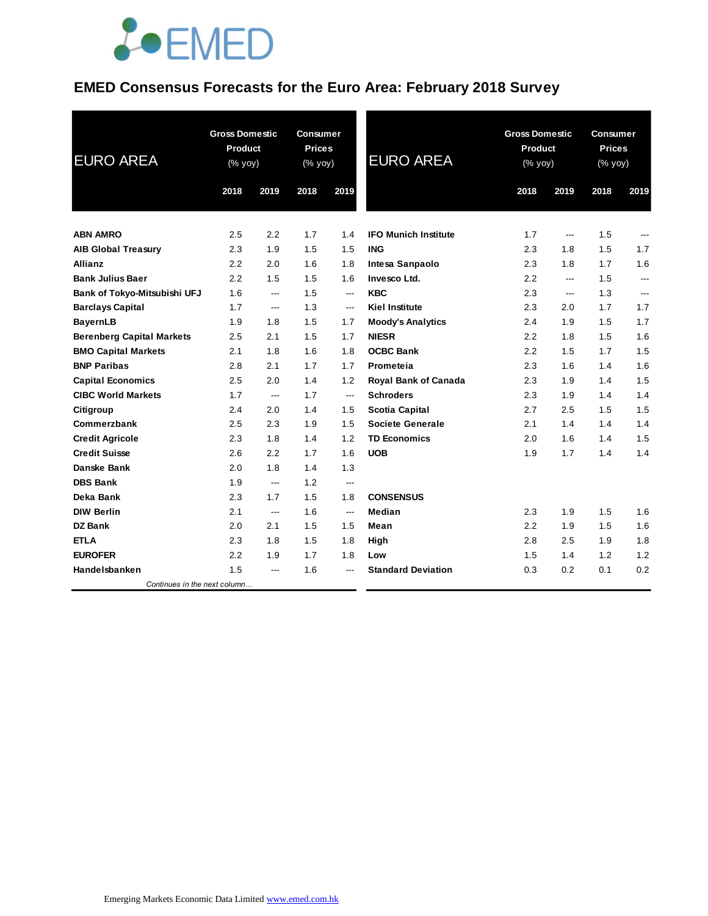## **EMED Consensus Forecasts for the Euro Area: February 2018 Survey**

| <b>EURO AREA</b>                 | <b>Gross Domestic</b><br>Product<br>(% yoy) |       | <b>Consumer</b><br><b>Prices</b><br>(% yoy) |                          | <b>EURO AREA</b>            | <b>Gross Domestic</b><br>Product<br>(% yoy) |       | <b>Consumer</b><br><b>Prices</b><br>(% yoy) |                |
|----------------------------------|---------------------------------------------|-------|---------------------------------------------|--------------------------|-----------------------------|---------------------------------------------|-------|---------------------------------------------|----------------|
|                                  | 2018                                        | 2019  | 2018                                        | 2019                     |                             | 2018                                        | 2019  | 2018                                        | 2019           |
| <b>ABN AMRO</b>                  | 2.5                                         | 2.2   | 1.7                                         | 1.4                      | <b>IFO Munich Institute</b> | 1.7                                         | $---$ | 1.5                                         | ---            |
| <b>AIB Global Treasury</b>       | 2.3                                         | 1.9   | 1.5                                         | 1.5                      | <b>ING</b>                  | 2.3                                         | 1.8   | 1.5                                         | 1.7            |
| <b>Allianz</b>                   | 2.2                                         | 2.0   | 1.6                                         | 1.8                      | Intesa Sanpaolo             | 2.3                                         | 1.8   | 1.7                                         | 1.6            |
| <b>Bank Julius Baer</b>          | 2.2                                         | 1.5   | 1.5                                         | 1.6                      | Invesco Ltd.                | 2.2                                         | ---   | 1.5                                         | $\overline{a}$ |
| Bank of Tokyo-Mitsubishi UFJ     | 1.6                                         | ---   | 1.5                                         | $\hspace{0.05cm} \ldots$ | <b>KBC</b>                  | 2.3                                         | ---   | 1.3                                         | ---            |
| <b>Barclays Capital</b>          | 1.7                                         | ---   | 1.3                                         | $\overline{\phantom{a}}$ | <b>Kiel Institute</b>       | 2.3                                         | 2.0   | 1.7                                         | 1.7            |
| <b>BayernLB</b>                  | 1.9                                         | 1.8   | 1.5                                         | 1.7                      | <b>Moody's Analytics</b>    | 2.4                                         | 1.9   | 1.5                                         | 1.7            |
| <b>Berenberg Capital Markets</b> | 2.5                                         | 2.1   | 1.5                                         | 1.7                      | <b>NIESR</b>                | 2.2                                         | 1.8   | 1.5                                         | 1.6            |
| <b>BMO Capital Markets</b>       | 2.1                                         | 1.8   | 1.6                                         | 1.8                      | <b>OCBC Bank</b>            | 2.2                                         | 1.5   | 1.7                                         | 1.5            |
| <b>BNP Paribas</b>               | 2.8                                         | 2.1   | 1.7                                         | 1.7                      | Prometeia                   | 2.3                                         | 1.6   | 1.4                                         | 1.6            |
| <b>Capital Economics</b>         | 2.5                                         | 2.0   | 1.4                                         | 1.2                      | <b>Royal Bank of Canada</b> | 2.3                                         | 1.9   | 1.4                                         | 1.5            |
| <b>CIBC World Markets</b>        | 1.7                                         | $---$ | 1.7                                         | $\overline{\phantom{a}}$ | <b>Schroders</b>            | 2.3                                         | 1.9   | 1.4                                         | 1.4            |
| Citigroup                        | 2.4                                         | 2.0   | 1.4                                         | 1.5                      | <b>Scotia Capital</b>       | 2.7                                         | 2.5   | 1.5                                         | 1.5            |
| Commerzbank                      | 2.5                                         | 2.3   | 1.9                                         | 1.5                      | <b>Societe Generale</b>     | 2.1                                         | 1.4   | 1.4                                         | 1.4            |
| <b>Credit Agricole</b>           | 2.3                                         | 1.8   | 1.4                                         | 1.2                      | <b>TD Economics</b>         | 2.0                                         | 1.6   | 1.4                                         | 1.5            |
| <b>Credit Suisse</b>             | 2.6                                         | 2.2   | 1.7                                         | 1.6                      | <b>UOB</b>                  | 1.9                                         | 1.7   | 1.4                                         | 1.4            |
| Danske Bank                      | 2.0                                         | 1.8   | 1.4                                         | 1.3                      |                             |                                             |       |                                             |                |
| <b>DBS Bank</b>                  | 1.9                                         | ---   | 1.2                                         | ---                      |                             |                                             |       |                                             |                |
| Deka Bank                        | 2.3                                         | 1.7   | 1.5                                         | 1.8                      | <b>CONSENSUS</b>            |                                             |       |                                             |                |
| <b>DIW Berlin</b>                | 2.1                                         | $---$ | 1.6                                         | $\overline{\phantom{a}}$ | Median                      | 2.3                                         | 1.9   | 1.5                                         | 1.6            |
| DZ Bank                          | 2.0                                         | 2.1   | 1.5                                         | 1.5                      | Mean                        | 2.2                                         | 1.9   | 1.5                                         | 1.6            |
| <b>ETLA</b>                      | 2.3                                         | 1.8   | 1.5                                         | 1.8                      | High                        | 2.8                                         | 2.5   | 1.9                                         | 1.8            |
| <b>EUROFER</b>                   | 2.2                                         | 1.9   | 1.7                                         | 1.8                      | Low                         | 1.5                                         | 1.4   | 1.2                                         | 1.2            |
| Handelsbanken                    | 1.5                                         | $---$ | 1.6                                         | ---                      | <b>Standard Deviation</b>   | 0.3                                         | 0.2   | 0.1                                         | 0.2            |
| Continues in the next column     |                                             |       |                                             |                          |                             |                                             |       |                                             |                |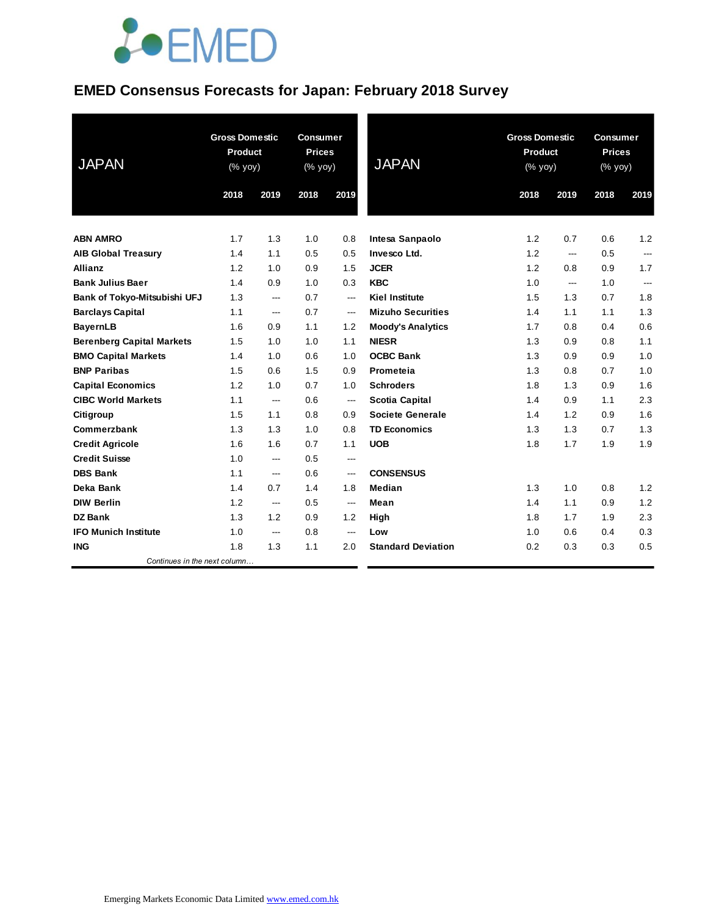#### **EMED Consensus Forecasts for Japan: February 2018 Survey**

| <b>JAPAN</b>                     | <b>Gross Domestic</b><br><b>Product</b><br>(% yoy) |      | <b>Consumer</b><br><b>Prices</b><br>(% yoy) |                        | <b>JAPAN</b>              | <b>Gross Domestic</b><br><b>Product</b><br>(% yoy) |      | <b>Consumer</b><br><b>Prices</b><br>(% yoy) |                |
|----------------------------------|----------------------------------------------------|------|---------------------------------------------|------------------------|---------------------------|----------------------------------------------------|------|---------------------------------------------|----------------|
|                                  | 2018                                               | 2019 | 2018                                        | 2019                   |                           | 2018                                               | 2019 | 2018                                        | 2019           |
| <b>ABN AMRO</b>                  | 1.7                                                | 1.3  | 1.0                                         | 0.8                    | Intesa Sanpaolo           | 1.2                                                | 0.7  | 0.6                                         | 1.2            |
| <b>AIB Global Treasury</b>       | 1.4                                                | 1.1  | 0.5                                         | 0.5                    | <b>Invesco Ltd.</b>       | 1.2                                                | ---  | 0.5                                         | $---$          |
| <b>Allianz</b>                   | 1.2                                                | 1.0  | 0.9                                         | 1.5                    | <b>JCER</b>               | 1.2                                                | 0.8  | 0.9                                         | 1.7            |
| <b>Bank Julius Baer</b>          | 1.4                                                | 0.9  | 1.0                                         | 0.3                    | <b>KBC</b>                | 1.0                                                | ---  | 1.0                                         | $\overline{a}$ |
| Bank of Tokyo-Mitsubishi UFJ     | 1.3                                                | ---  | 0.7                                         | $\qquad \qquad \cdots$ | <b>Kiel Institute</b>     | 1.5                                                | 1.3  | 0.7                                         | 1.8            |
| <b>Barclays Capital</b>          | 1.1                                                | ---  | 0.7                                         | ---                    | <b>Mizuho Securities</b>  | 1.4                                                | 1.1  | 1.1                                         | 1.3            |
| <b>BayernLB</b>                  | 1.6                                                | 0.9  | 1.1                                         | 1.2                    | <b>Moody's Analytics</b>  | 1.7                                                | 0.8  | 0.4                                         | 0.6            |
| <b>Berenberg Capital Markets</b> | 1.5                                                | 1.0  | 1.0                                         | 1.1                    | <b>NIESR</b>              | 1.3                                                | 0.9  | 0.8                                         | 1.1            |
| <b>BMO Capital Markets</b>       | 1.4                                                | 1.0  | 0.6                                         | 1.0                    | <b>OCBC Bank</b>          | 1.3                                                | 0.9  | 0.9                                         | 1.0            |
| <b>BNP Paribas</b>               | 1.5                                                | 0.6  | 1.5                                         | 0.9                    | Prometeia                 | 1.3                                                | 0.8  | 0.7                                         | 1.0            |
| <b>Capital Economics</b>         | 1.2                                                | 1.0  | 0.7                                         | 1.0                    | <b>Schroders</b>          | 1.8                                                | 1.3  | 0.9                                         | 1.6            |
| <b>CIBC World Markets</b>        | 1.1                                                | ---  | 0.6                                         | ---                    | <b>Scotia Capital</b>     | 1.4                                                | 0.9  | 1.1                                         | 2.3            |
| Citigroup                        | 1.5                                                | 1.1  | 0.8                                         | 0.9                    | <b>Societe Generale</b>   | 1.4                                                | 1.2  | 0.9                                         | 1.6            |
| Commerzbank                      | 1.3                                                | 1.3  | 1.0                                         | 0.8                    | <b>TD Economics</b>       | 1.3                                                | 1.3  | 0.7                                         | 1.3            |
| <b>Credit Agricole</b>           | 1.6                                                | 1.6  | 0.7                                         | 1.1                    | <b>UOB</b>                | 1.8                                                | 1.7  | 1.9                                         | 1.9            |
| <b>Credit Suisse</b>             | 1.0                                                | ---  | 0.5                                         | ---                    |                           |                                                    |      |                                             |                |
| <b>DBS Bank</b>                  | 1.1                                                | ---  | 0.6                                         | $\overline{a}$         | <b>CONSENSUS</b>          |                                                    |      |                                             |                |
| Deka Bank                        | 1.4                                                | 0.7  | 1.4                                         | 1.8                    | Median                    | 1.3                                                | 1.0  | 0.8                                         | 1.2            |
| <b>DIW Berlin</b>                | 1.2                                                | ---  | 0.5                                         | $\qquad \qquad \cdots$ | Mean                      | 1.4                                                | 1.1  | 0.9                                         | 1.2            |
| <b>DZ Bank</b>                   | 1.3                                                | 1.2  | 0.9                                         | 1.2                    | High                      | 1.8                                                | 1.7  | 1.9                                         | 2.3            |
| <b>IFO Munich Institute</b>      | 1.0                                                | ---  | 0.8                                         | $\qquad \qquad \cdots$ | Low                       | 1.0                                                | 0.6  | 0.4                                         | 0.3            |
| <b>ING</b>                       | 1.8                                                | 1.3  | 1.1                                         | 2.0                    | <b>Standard Deviation</b> | 0.2                                                | 0.3  | 0.3                                         | 0.5            |
| Continues in the next column     |                                                    |      |                                             |                        |                           |                                                    |      |                                             |                |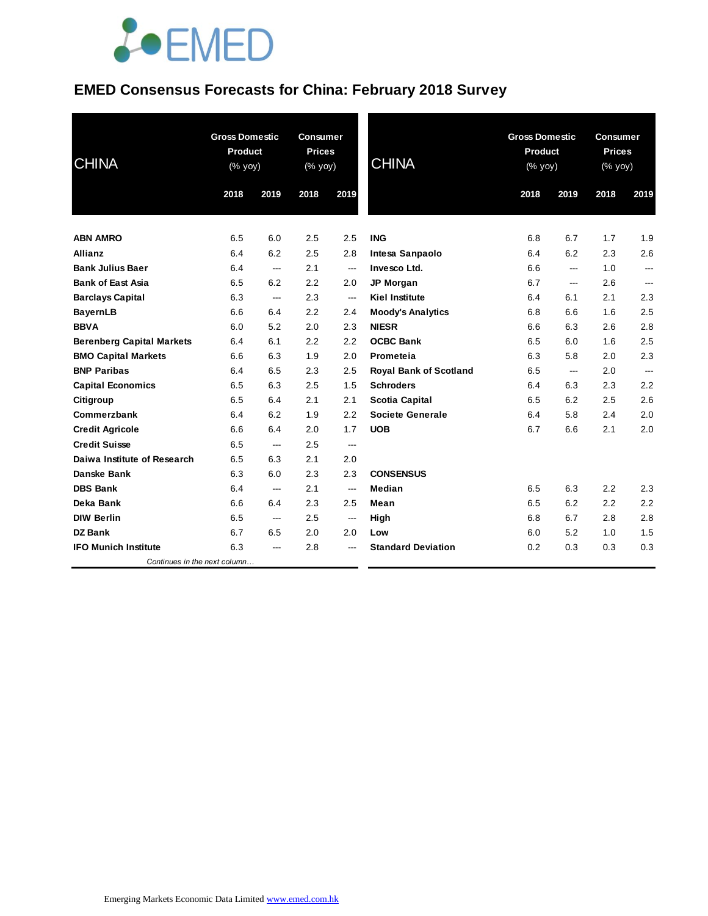### **EMED Consensus Forecasts for China: February 2018 Survey**

| <b>CHINA</b>                     | <b>Gross Domestic</b><br><b>Product</b><br>(% yoy) |      | <b>Consumer</b><br><b>Prices</b><br>(% yoy) |         | <b>CHINA</b>                  | <b>Gross Domestic</b><br>Product<br>$(% \mathsf{y}\right)$ (% $\overline{\mathsf{y}\mathsf{y}}$ ) |                          | <b>Consumer</b><br><b>Prices</b><br>(% yoy) |                |
|----------------------------------|----------------------------------------------------|------|---------------------------------------------|---------|-------------------------------|---------------------------------------------------------------------------------------------------|--------------------------|---------------------------------------------|----------------|
|                                  | 2018                                               | 2019 | 2018                                        | 2019    |                               | 2018                                                                                              | 2019                     | 2018                                        | 2019           |
| <b>ABN AMRO</b>                  | 6.5                                                | 6.0  | 2.5                                         | 2.5     | <b>ING</b>                    | 6.8                                                                                               | 6.7                      | 1.7                                         | 1.9            |
| <b>Allianz</b>                   | 6.4                                                | 6.2  | 2.5                                         | 2.8     | Intesa Sanpaolo               | 6.4                                                                                               | 6.2                      | 2.3                                         | 2.6            |
| <b>Bank Julius Baer</b>          | 6.4                                                | ---  | 2.1                                         | ---     | Invesco Ltd.                  | 6.6                                                                                               | ---                      | 1.0                                         | ---            |
| <b>Bank of East Asia</b>         | 6.5                                                | 6.2  | 2.2                                         | 2.0     | <b>JP Morgan</b>              | 6.7                                                                                               | ---                      | 2.6                                         | ---            |
| <b>Barclays Capital</b>          | 6.3                                                | ---  | 2.3                                         | ---     | <b>Kiel Institute</b>         | 6.4                                                                                               | 6.1                      | 2.1                                         | 2.3            |
| <b>BayernLB</b>                  | 6.6                                                | 6.4  | 2.2                                         | 2.4     | <b>Moody's Analytics</b>      | 6.8                                                                                               | 6.6                      | 1.6                                         | 2.5            |
| <b>BBVA</b>                      | 6.0                                                | 5.2  | 2.0                                         | 2.3     | <b>NIESR</b>                  | 6.6                                                                                               | 6.3                      | 2.6                                         | 2.8            |
| <b>Berenberg Capital Markets</b> | 6.4                                                | 6.1  | 2.2                                         | 2.2     | <b>OCBC Bank</b>              | 6.5                                                                                               | 6.0                      | 1.6                                         | 2.5            |
| <b>BMO Capital Markets</b>       | 6.6                                                | 6.3  | 1.9                                         | 2.0     | Prometeia                     | 6.3                                                                                               | 5.8                      | 2.0                                         | 2.3            |
| <b>BNP Paribas</b>               | 6.4                                                | 6.5  | 2.3                                         | 2.5     | <b>Royal Bank of Scotland</b> | 6.5                                                                                               | $\hspace{0.05cm} \ldots$ | 2.0                                         | $\overline{a}$ |
| <b>Capital Economics</b>         | 6.5                                                | 6.3  | 2.5                                         | 1.5     | <b>Schroders</b>              | 6.4                                                                                               | 6.3                      | 2.3                                         | 2.2            |
| Citigroup                        | 6.5                                                | 6.4  | 2.1                                         | 2.1     | <b>Scotia Capital</b>         | 6.5                                                                                               | 6.2                      | 2.5                                         | 2.6            |
| Commerzbank                      | 6.4                                                | 6.2  | 1.9                                         | 2.2     | <b>Societe Generale</b>       | 6.4                                                                                               | 5.8                      | 2.4                                         | 2.0            |
| <b>Credit Agricole</b>           | 6.6                                                | 6.4  | 2.0                                         | 1.7     | <b>UOB</b>                    | 6.7                                                                                               | 6.6                      | 2.1                                         | 2.0            |
| <b>Credit Suisse</b>             | 6.5                                                | ---  | 2.5                                         | ---     |                               |                                                                                                   |                          |                                             |                |
| Daiwa Institute of Research      | 6.5                                                | 6.3  | 2.1                                         | 2.0     |                               |                                                                                                   |                          |                                             |                |
| <b>Danske Bank</b>               | 6.3                                                | 6.0  | 2.3                                         | 2.3     | <b>CONSENSUS</b>              |                                                                                                   |                          |                                             |                |
| <b>DBS Bank</b>                  | 6.4                                                | ---  | 2.1                                         | ---     | Median                        | 6.5                                                                                               | 6.3                      | 2.2                                         | 2.3            |
| Deka Bank                        | 6.6                                                | 6.4  | 2.3                                         | $2.5\,$ | Mean                          | 6.5                                                                                               | 6.2                      | 2.2                                         | 2.2            |
| <b>DIW Berlin</b>                | 6.5                                                | ---  | 2.5                                         | ---     | High                          | 6.8                                                                                               | 6.7                      | 2.8                                         | 2.8            |
| <b>DZ Bank</b>                   | 6.7                                                | 6.5  | 2.0                                         | 2.0     | Low                           | 6.0                                                                                               | 5.2                      | 1.0                                         | 1.5            |
| <b>IFO Munich Institute</b>      | 6.3                                                | ---  | 2.8                                         | ---     | <b>Standard Deviation</b>     | 0.2                                                                                               | 0.3                      | 0.3                                         | 0.3            |
| Continues in the next column     |                                                    |      |                                             |         |                               |                                                                                                   |                          |                                             |                |